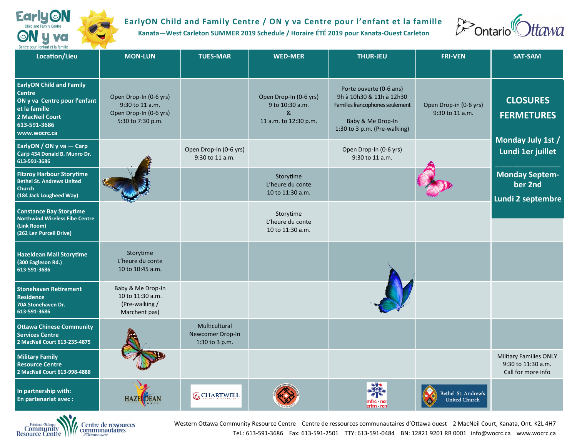

## **EarlyON Child and Family Centre / ON y va Centre pour l'enfant et la famille**

**Kanata—West Carleton SUMMER 2019 Schedule / Horaire ÉTÉ 2019 pour Kanata-Ouest Carleton**



| Location/Lieu                                                                                                                                        | <b>MON-LUN</b>                                                                           | <b>TUES-MAR</b>                                     | <b>WED-MER</b>                                                                      | <b>THUR-JEU</b>                                                                                                                             | <b>FRI-VEN</b>                              | <b>SAT-SAM</b>                                                            |
|------------------------------------------------------------------------------------------------------------------------------------------------------|------------------------------------------------------------------------------------------|-----------------------------------------------------|-------------------------------------------------------------------------------------|---------------------------------------------------------------------------------------------------------------------------------------------|---------------------------------------------|---------------------------------------------------------------------------|
|                                                                                                                                                      |                                                                                          |                                                     |                                                                                     |                                                                                                                                             |                                             |                                                                           |
| <b>EarlyON Child and Family</b><br><b>Centre</b><br>ON y va Centre pour l'enfant<br>et la famille<br>2 MacNeil Court<br>613-591-3686<br>www.wocrc.ca | Open Drop-In (0-6 yrs)<br>9:30 to 11 a.m.<br>Open Drop-In (0-6 yrs)<br>5:30 to 7:30 p.m. |                                                     | Open Drop-In (0-6 yrs)<br>9 to 10:30 a.m.<br>$\mathcal{R}$<br>11 a.m. to 12:30 p.m. | Porte ouverte (0-6 ans)<br>9h à 10h30 & 11h à 12h30<br>Familles francophones seulement<br>Baby & Me Drop-In<br>1:30 to 3 p.m. (Pre-walking) | Open Drop-in (0-6 yrs)<br>9:30 to 11 a.m.   | <b>CLOSURES</b><br><b>FERMETURES</b>                                      |
| EarlyON / ON y va - Carp<br>Carp 434 Donald B. Munro Dr.<br>613-591-3686                                                                             |                                                                                          | Open Drop-In (0-6 yrs)<br>9:30 to 11 a.m.           |                                                                                     | Open Drop-In (0-6 yrs)<br>9:30 to 11 a.m.                                                                                                   |                                             | Monday July 1st /<br>Lundi 1er juillet                                    |
| <b>Fitzroy Harbour Storytime</b><br><b>Bethel St. Andrews United</b><br><b>Church</b><br>(184 Jack Lougheed Way)                                     |                                                                                          |                                                     | Storytime<br>L'heure du conte<br>10 to 11:30 a.m.                                   |                                                                                                                                             |                                             | <b>Monday Septem-</b><br>ber 2nd                                          |
| <b>Constance Bay Storytime</b><br><b>Northwind Wireless Fibe Centre</b><br>(Link Room)<br>(262 Len Purcell Drive)                                    |                                                                                          |                                                     | Storytime<br>L'heure du conte<br>10 to 11:30 a.m.                                   |                                                                                                                                             |                                             | Lundi 2 septembre                                                         |
| <b>Hazeldean Mall Storytime</b><br>(300 Eagleson Rd.)<br>613-591-3686                                                                                | Storytime<br>L'heure du conte<br>10 to 10:45 a.m.                                        |                                                     |                                                                                     |                                                                                                                                             |                                             |                                                                           |
| <b>Stonehaven Retirement</b><br><b>Residence</b><br>70A Stonehaven Dr.<br>613-591-3686                                                               | Baby & Me Drop-In<br>10 to 11:30 a.m.<br>(Pre-walking /<br>Marchent pas)                 |                                                     |                                                                                     |                                                                                                                                             |                                             |                                                                           |
| <b>Ottawa Chinese Community</b><br><b>Services Centre</b><br>2 MacNeil Court 613-235-4875                                                            |                                                                                          | Multicultural<br>Newcomer Drop-In<br>1:30 to 3 p.m. |                                                                                     |                                                                                                                                             |                                             |                                                                           |
| <b>Military Family</b><br><b>Resource Centre</b><br>2 MacNeil Court 613-998-4888                                                                     |                                                                                          |                                                     |                                                                                     |                                                                                                                                             |                                             | <b>Military Families ONLY</b><br>9:30 to 11:30 a.m.<br>Call for more info |
| In partnership with:<br>En partenariat avec:                                                                                                         | <b>HAZELDEAN</b>                                                                         | <b>CCHARTWELL</b>                                   |                                                                                     | mfrc · ncr<br>crfm · rcn                                                                                                                    | Bethel-St. Andrew's<br><b>United Church</b> |                                                                           |



Western Ottawa Community Resource Centre Centre de ressources communautaires d'Ottawa ouest 2 MacNeil Court, Kanata, Ont. K2L 4H7 Tel.: 613-591-3686 Fax: 613-591-2501 TTY: 613-591-0484 BN: 12821 9201 RR 0001 info@wocrc.ca www.wocrc.ca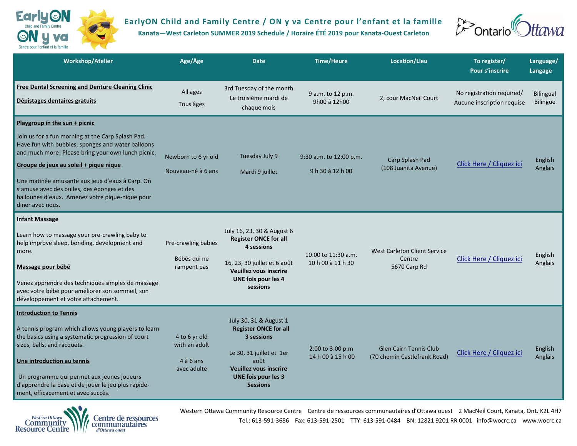

## **EarlyON Child and Family Centre / ON y va Centre pour l'enfant et la famille**

**Kanata—West Carleton SUMMER 2019 Schedule / Horaire ÉTÉ 2019 pour Kanata-Ouest Carleton**



| Workshop/Atelier                                                                                                                                                                                                                                                                                                                                                                                                   | Age/Âge                                                      | <b>Date</b>                                                                                                                                                                                | <b>Time/Heure</b>                           | Location/Lieu                                                 | To register/<br><b>Pour s'inscrire</b>                  | Language/<br>Langage         |
|--------------------------------------------------------------------------------------------------------------------------------------------------------------------------------------------------------------------------------------------------------------------------------------------------------------------------------------------------------------------------------------------------------------------|--------------------------------------------------------------|--------------------------------------------------------------------------------------------------------------------------------------------------------------------------------------------|---------------------------------------------|---------------------------------------------------------------|---------------------------------------------------------|------------------------------|
| <b>Free Dental Screening and Denture Cleaning Clinic</b><br>Dépistages dentaires gratuits                                                                                                                                                                                                                                                                                                                          | All ages<br>Tous âges                                        | 3rd Tuesday of the month<br>Le troisième mardi de<br>chaque mois                                                                                                                           | 9 a.m. to 12 p.m.<br>9h00 à 12h00           | 2, cour MacNeil Court                                         | No registration required/<br>Aucune inscription requise | <b>Bilingual</b><br>Bilingue |
| Playgroup in the sun $+$ picnic<br>Join us for a fun morning at the Carp Splash Pad.<br>Have fun with bubbles, sponges and water balloons<br>and much more! Please bring your own lunch picnic.<br>Groupe de jeux au soleil + pique nique<br>Une matinée amusante aux jeux d'eaux à Carp. On<br>s'amuse avec des bulles, des éponges et des<br>ballounes d'eaux. Amenez votre pique-nique pour<br>diner avec nous. | Newborn to 6 yr old<br>Nouveau-né à 6 ans                    | Tuesday July 9<br>Mardi 9 juillet                                                                                                                                                          | 9:30 a.m. to 12:00 p.m.<br>9 h 30 à 12 h 00 | Carp Splash Pad<br>(108 Juanita Avenue)                       | Click Here / Cliquez ici                                | English<br>Anglais           |
| <b>Infant Massage</b><br>Learn how to massage your pre-crawling baby to<br>help improve sleep, bonding, development and<br>more.<br>Massage pour bébé<br>Venez apprendre des techniques simples de massage<br>avec votre bébé pour améliorer son sommeil, son<br>développement et votre attachement.                                                                                                               | Pre-crawling babies<br>Bébés qui ne<br>rampent pas           | July 16, 23, 30 & August 6<br><b>Register ONCE for all</b><br>4 sessions<br>16, 23, 30 juillet et 6 août<br>Veuillez vous inscrire<br>UNE fois pour les 4<br>sessions                      | 10:00 to 11:30 a.m.<br>10 h 00 à 11 h 30    | <b>West Carleton Client Service</b><br>Centre<br>5670 Carp Rd | Click Here / Cliquez ici                                | English<br>Anglais           |
| <b>Introduction to Tennis</b><br>A tennis program which allows young players to learn<br>the basics using a systematic progression of court<br>sizes, balls, and racquets.<br>Une introduction au tennis<br>Un programme qui permet aux jeunes joueurs<br>d'apprendre la base et de jouer le jeu plus rapide-<br>ment, efficacement et avec succès.                                                                | 4 to 6 yr old<br>with an adult<br>$4$ à 6 ans<br>avec adulte | July 30, 31 & August 1<br><b>Register ONCE for all</b><br>3 sessions<br>Le 30, 31 juillet et 1er<br>août<br><b>Veuillez vous inscrire</b><br><b>UNE fois pour les 3</b><br><b>Sessions</b> | 2:00 to 3:00 p.m<br>14 h 00 à 15 h 00       | <b>Glen Cairn Tennis Club</b><br>(70 chemin Castlefrank Road) | Click Here / Cliquez ici                                | English<br>Anglais           |



Western Ottawa Community Resource Centre Centre de ressources communautaires d'Ottawa ouest 2 MacNeil Court, Kanata, Ont. K2L 4H7 Tel.: 613-591-3686 Fax: 613-591-2501 TTY: 613-591-0484 BN: 12821 9201 RR 0001 info@wocrc.ca www.wocrc.ca